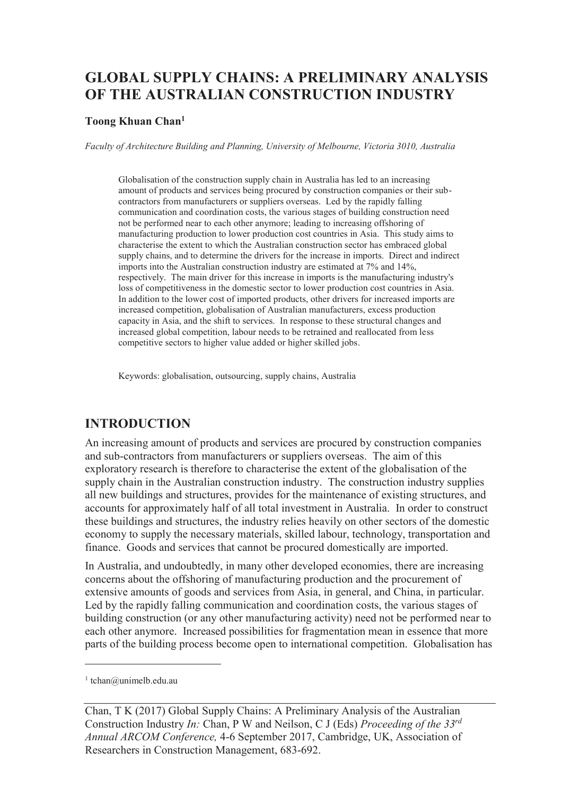# **GLOBAL SUPPLY CHAINS: A PRELIMINARY ANALYSIS OF THE AUSTRALIAN CONSTRUCTION INDUSTRY**

#### **Toong Khuan Chan<sup>1</sup>**

*Faculty of Architecture Building and Planning, University of Melbourne, Victoria 3010, Australia* 

Globalisation of the construction supply chain in Australia has led to an increasing amount of products and services being procured by construction companies or their subcontractors from manufacturers or suppliers overseas. Led by the rapidly falling communication and coordination costs, the various stages of building construction need not be performed near to each other anymore; leading to increasing offshoring of manufacturing production to lower production cost countries in Asia. This study aims to characterise the extent to which the Australian construction sector has embraced global supply chains, and to determine the drivers for the increase in imports. Direct and indirect imports into the Australian construction industry are estimated at 7% and 14%, respectively. The main driver for this increase in imports is the manufacturing industry's loss of competitiveness in the domestic sector to lower production cost countries in Asia. In addition to the lower cost of imported products, other drivers for increased imports are increased competition, globalisation of Australian manufacturers, excess production capacity in Asia, and the shift to services. In response to these structural changes and increased global competition, labour needs to be retrained and reallocated from less competitive sectors to higher value added or higher skilled jobs.

Keywords: globalisation, outsourcing, supply chains, Australia

#### **INTRODUCTION**

An increasing amount of products and services are procured by construction companies and sub-contractors from manufacturers or suppliers overseas. The aim of this exploratory research is therefore to characterise the extent of the globalisation of the supply chain in the Australian construction industry. The construction industry supplies all new buildings and structures, provides for the maintenance of existing structures, and accounts for approximately half of all total investment in Australia. In order to construct these buildings and structures, the industry relies heavily on other sectors of the domestic economy to supply the necessary materials, skilled labour, technology, transportation and finance. Goods and services that cannot be procured domestically are imported.

In Australia, and undoubtedly, in many other developed economies, there are increasing concerns about the offshoring of manufacturing production and the procurement of extensive amounts of goods and services from Asia, in general, and China, in particular. Led by the rapidly falling communication and coordination costs, the various stages of building construction (or any other manufacturing activity) need not be performed near to each other anymore. Increased possibilities for fragmentation mean in essence that more parts of the building process become open to international competition. Globalisation has

-

<sup>1</sup> tchan@unimelb.edu.au

Chan, T K (2017) Global Supply Chains: A Preliminary Analysis of the Australian Construction Industry *In:* Chan, P W and Neilson, C J (Eds) *Proceeding of the 33rd Annual ARCOM Conference,* 4-6 September 2017, Cambridge, UK, Association of Researchers in Construction Management, 683-692.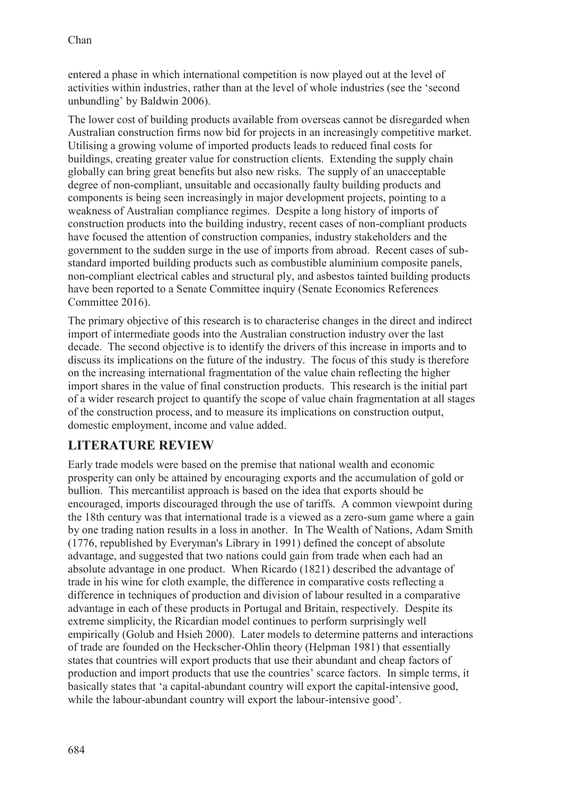entered a phase in which international competition is now played out at the level of activities within industries, rather than at the level of whole industries (see the 'second unbundling' by Baldwin 2006).

The lower cost of building products available from overseas cannot be disregarded when Australian construction firms now bid for projects in an increasingly competitive market. Utilising a growing volume of imported products leads to reduced final costs for buildings, creating greater value for construction clients. Extending the supply chain globally can bring great benefits but also new risks. The supply of an unacceptable degree of non-compliant, unsuitable and occasionally faulty building products and components is being seen increasingly in major development projects, pointing to a weakness of Australian compliance regimes. Despite a long history of imports of construction products into the building industry, recent cases of non-compliant products have focused the attention of construction companies, industry stakeholders and the government to the sudden surge in the use of imports from abroad. Recent cases of substandard imported building products such as combustible aluminium composite panels, non-compliant electrical cables and structural ply, and asbestos tainted building products have been reported to a Senate Committee inquiry (Senate Economics References Committee 2016).

The primary objective of this research is to characterise changes in the direct and indirect import of intermediate goods into the Australian construction industry over the last decade. The second objective is to identify the drivers of this increase in imports and to discuss its implications on the future of the industry. The focus of this study is therefore on the increasing international fragmentation of the value chain reflecting the higher import shares in the value of final construction products. This research is the initial part of a wider research project to quantify the scope of value chain fragmentation at all stages of the construction process, and to measure its implications on construction output, domestic employment, income and value added.

### **LITERATURE REVIEW**

Early trade models were based on the premise that national wealth and economic prosperity can only be attained by encouraging exports and the accumulation of gold or bullion. This mercantilist approach is based on the idea that exports should be encouraged, imports discouraged through the use of tariffs. A common viewpoint during the 18th century was that international trade is a viewed as a zero-sum game where a gain by one trading nation results in a loss in another. In The Wealth of Nations, Adam Smith (1776, republished by Everyman's Library in 1991) defined the concept of absolute advantage, and suggested that two nations could gain from trade when each had an absolute advantage in one product. When Ricardo (1821) described the advantage of trade in his wine for cloth example, the difference in comparative costs reflecting a difference in techniques of production and division of labour resulted in a comparative advantage in each of these products in Portugal and Britain, respectively. Despite its extreme simplicity, the Ricardian model continues to perform surprisingly well empirically (Golub and Hsieh 2000). Later models to determine patterns and interactions of trade are founded on the Heckscher-Ohlin theory (Helpman 1981) that essentially states that countries will export products that use their abundant and cheap factors of production and import products that use the countries' scarce factors. In simple terms, it basically states that 'a capital-abundant country will export the capital-intensive good, while the labour-abundant country will export the labour-intensive good'.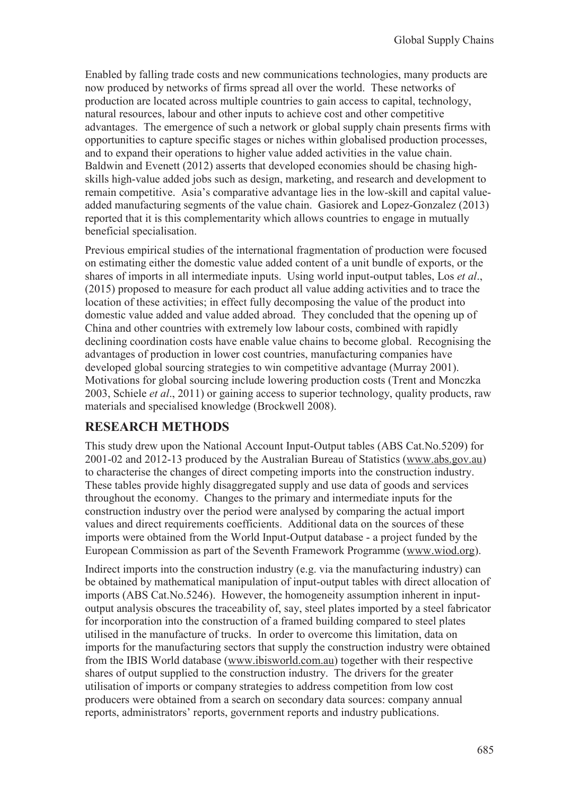Enabled by falling trade costs and new communications technologies, many products are now produced by networks of firms spread all over the world. These networks of production are located across multiple countries to gain access to capital, technology, natural resources, labour and other inputs to achieve cost and other competitive advantages. The emergence of such a network or global supply chain presents firms with opportunities to capture specific stages or niches within globalised production processes, and to expand their operations to higher value added activities in the value chain. Baldwin and Evenett (2012) asserts that developed economies should be chasing highskills high-value added jobs such as design, marketing, and research and development to remain competitive. Asia's comparative advantage lies in the low-skill and capital valueadded manufacturing segments of the value chain. Gasiorek and Lopez-Gonzalez (2013) reported that it is this complementarity which allows countries to engage in mutually beneficial specialisation.

Previous empirical studies of the international fragmentation of production were focused on estimating either the domestic value added content of a unit bundle of exports, or the shares of imports in all intermediate inputs. Using world input-output tables, Los *et al*., (2015) proposed to measure for each product all value adding activities and to trace the location of these activities; in effect fully decomposing the value of the product into domestic value added and value added abroad. They concluded that the opening up of China and other countries with extremely low labour costs, combined with rapidly declining coordination costs have enable value chains to become global. Recognising the advantages of production in lower cost countries, manufacturing companies have developed global sourcing strategies to win competitive advantage (Murray 2001). Motivations for global sourcing include lowering production costs (Trent and Monczka 2003, Schiele *et al*., 2011) or gaining access to superior technology, quality products, raw materials and specialised knowledge (Brockwell 2008).

### **RESEARCH METHODS**

This study drew upon the National Account Input-Output tables (ABS Cat.No.5209) for 2001-02 and 2012-13 produced by the Australian Bureau of Statistics (www.abs.gov.au) to characterise the changes of direct competing imports into the construction industry. These tables provide highly disaggregated supply and use data of goods and services throughout the economy. Changes to the primary and intermediate inputs for the construction industry over the period were analysed by comparing the actual import values and direct requirements coefficients. Additional data on the sources of these imports were obtained from the World Input-Output database - a project funded by the European Commission as part of the Seventh Framework Programme (www.wiod.org).

Indirect imports into the construction industry (e.g. via the manufacturing industry) can be obtained by mathematical manipulation of input-output tables with direct allocation of imports (ABS Cat.No.5246). However, the homogeneity assumption inherent in inputoutput analysis obscures the traceability of, say, steel plates imported by a steel fabricator for incorporation into the construction of a framed building compared to steel plates utilised in the manufacture of trucks. In order to overcome this limitation, data on imports for the manufacturing sectors that supply the construction industry were obtained from the IBIS World database (www.ibisworld.com.au) together with their respective shares of output supplied to the construction industry. The drivers for the greater utilisation of imports or company strategies to address competition from low cost producers were obtained from a search on secondary data sources: company annual reports, administrators' reports, government reports and industry publications.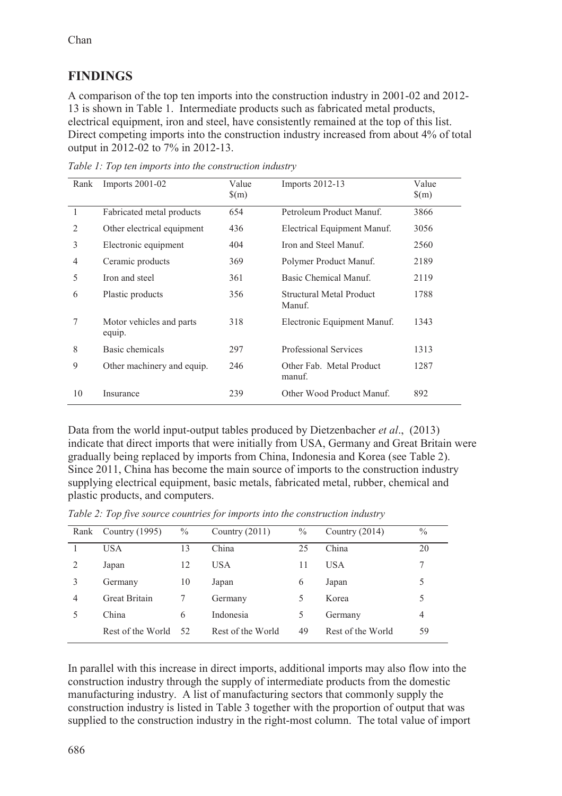# **FINDINGS**

A comparison of the top ten imports into the construction industry in 2001-02 and 2012- 13 is shown in Table 1. Intermediate products such as fabricated metal products, electrical equipment, iron and steel, have consistently remained at the top of this list. Direct competing imports into the construction industry increased from about 4% of total output in 2012-02 to 7% in 2012-13.

| Rank         | Imports 2001-02                    | Value<br>$\mathcal{S}(m)$ | Imports 2012-13                    | Value<br>$\mathcal{S}(m)$ |
|--------------|------------------------------------|---------------------------|------------------------------------|---------------------------|
| $\mathbf{1}$ | Fabricated metal products          | 654                       | Petroleum Product Manuf.           | 3866                      |
| 2            | Other electrical equipment         | 436                       | Electrical Equipment Manuf.        | 3056                      |
| 3            | Electronic equipment               | 404                       | Iron and Steel Manuf.              | 2560                      |
| 4            | Ceramic products                   | 369                       | Polymer Product Manuf.             | 2189                      |
| 5            | Iron and steel                     | 361                       | Basic Chemical Manuf.              | 2119                      |
| 6            | Plastic products                   | 356                       | Structural Metal Product<br>Manuf. | 1788                      |
| 7            | Motor vehicles and parts<br>equip. | 318                       | Electronic Equipment Manuf.        | 1343                      |
| 8            | Basic chemicals                    | 297                       | Professional Services              | 1313                      |
| 9            | Other machinery and equip.         | 246                       | Other Fab. Metal Product<br>manuf. | 1287                      |
| 10           | Insurance                          | 239                       | Other Wood Product Manuf.          | 892                       |

*Table 1: Top ten imports into the construction industry* 

Data from the world input-output tables produced by Dietzenbacher *et al*., (2013) indicate that direct imports that were initially from USA, Germany and Great Britain were gradually being replaced by imports from China, Indonesia and Korea (see Table 2). Since 2011, China has become the main source of imports to the construction industry supplying electrical equipment, basic metals, fabricated metal, rubber, chemical and plastic products, and computers.

*Table 2: Top five source countries for imports into the construction industry* 

|   | Rank Country (1995) | $\%$ | Country $(2011)$  | $\%$ | Country $(2014)$  | $\frac{0}{0}$ |
|---|---------------------|------|-------------------|------|-------------------|---------------|
|   | <b>USA</b>          | 13   | China             | 25   | China             | 20            |
| 2 | Japan               | 12   | USA.              | 11   | <b>USA</b>        |               |
| 3 | Germany             | 10   | Japan             | 6    | Japan             | 5             |
| 4 | Great Britain       |      | Germany           | 5.   | Korea             |               |
|   | China               | 6    | Indonesia         | 5    | Germany           | 4             |
|   | Rest of the World   | 52   | Rest of the World | 49   | Rest of the World | 59            |

In parallel with this increase in direct imports, additional imports may also flow into the construction industry through the supply of intermediate products from the domestic manufacturing industry. A list of manufacturing sectors that commonly supply the construction industry is listed in Table 3 together with the proportion of output that was supplied to the construction industry in the right-most column. The total value of import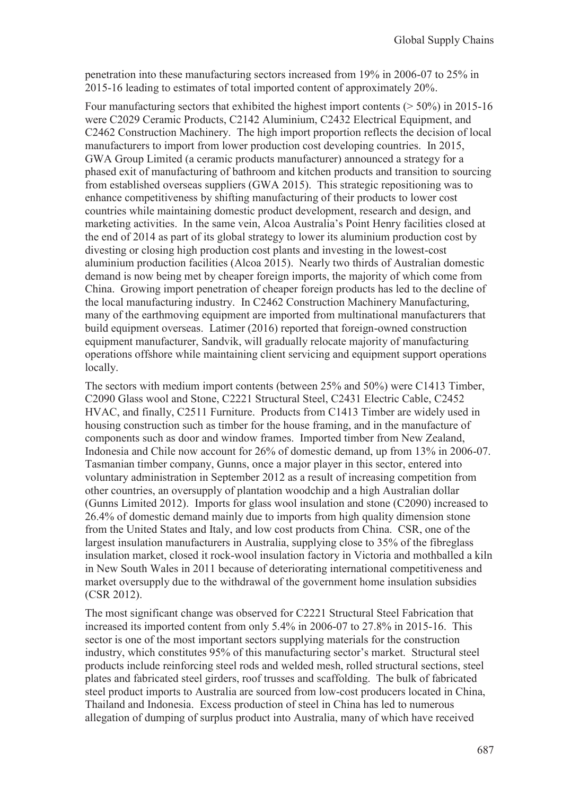penetration into these manufacturing sectors increased from 19% in 2006-07 to 25% in 2015-16 leading to estimates of total imported content of approximately 20%.

Four manufacturing sectors that exhibited the highest import contents  $($  > 50%) in 2015-16 were C2029 Ceramic Products, C2142 Aluminium, C2432 Electrical Equipment, and C2462 Construction Machinery. The high import proportion reflects the decision of local manufacturers to import from lower production cost developing countries. In 2015, GWA Group Limited (a ceramic products manufacturer) announced a strategy for a phased exit of manufacturing of bathroom and kitchen products and transition to sourcing from established overseas suppliers (GWA 2015). This strategic repositioning was to enhance competitiveness by shifting manufacturing of their products to lower cost countries while maintaining domestic product development, research and design, and marketing activities. In the same vein, Alcoa Australia's Point Henry facilities closed at the end of 2014 as part of its global strategy to lower its aluminium production cost by divesting or closing high production cost plants and investing in the lowest-cost aluminium production facilities (Alcoa 2015). Nearly two thirds of Australian domestic demand is now being met by cheaper foreign imports, the majority of which come from China. Growing import penetration of cheaper foreign products has led to the decline of the local manufacturing industry. In C2462 Construction Machinery Manufacturing, many of the earthmoving equipment are imported from multinational manufacturers that build equipment overseas. Latimer (2016) reported that foreign-owned construction equipment manufacturer, Sandvik, will gradually relocate majority of manufacturing operations offshore while maintaining client servicing and equipment support operations locally.

The sectors with medium import contents (between 25% and 50%) were C1413 Timber, C2090 Glass wool and Stone, C2221 Structural Steel, C2431 Electric Cable, C2452 HVAC, and finally, C2511 Furniture. Products from C1413 Timber are widely used in housing construction such as timber for the house framing, and in the manufacture of components such as door and window frames. Imported timber from New Zealand, Indonesia and Chile now account for 26% of domestic demand, up from 13% in 2006-07. Tasmanian timber company, Gunns, once a major player in this sector, entered into voluntary administration in September 2012 as a result of increasing competition from other countries, an oversupply of plantation woodchip and a high Australian dollar (Gunns Limited 2012). Imports for glass wool insulation and stone (C2090) increased to 26.4% of domestic demand mainly due to imports from high quality dimension stone from the United States and Italy, and low cost products from China. CSR, one of the largest insulation manufacturers in Australia, supplying close to 35% of the fibreglass insulation market, closed it rock-wool insulation factory in Victoria and mothballed a kiln in New South Wales in 2011 because of deteriorating international competitiveness and market oversupply due to the withdrawal of the government home insulation subsidies (CSR 2012).

The most significant change was observed for C2221 Structural Steel Fabrication that increased its imported content from only 5.4% in 2006-07 to 27.8% in 2015-16. This sector is one of the most important sectors supplying materials for the construction industry, which constitutes 95% of this manufacturing sector's market. Structural steel products include reinforcing steel rods and welded mesh, rolled structural sections, steel plates and fabricated steel girders, roof trusses and scaffolding. The bulk of fabricated steel product imports to Australia are sourced from low-cost producers located in China, Thailand and Indonesia. Excess production of steel in China has led to numerous allegation of dumping of surplus product into Australia, many of which have received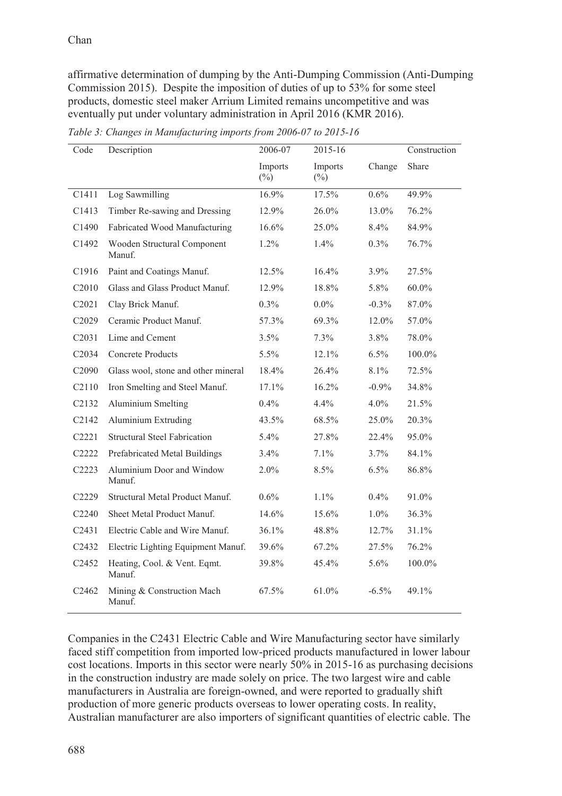affirmative determination of dumping by the Anti-Dumping Commission (Anti-Dumping Commission 2015). Despite the imposition of duties of up to 53% for some steel products, domestic steel maker Arrium Limited remains uncompetitive and was eventually put under voluntary administration in April 2016 (KMR 2016).

| Code                           | Description                            | 2006-07           | 2015-16           |          | Construction |
|--------------------------------|----------------------------------------|-------------------|-------------------|----------|--------------|
|                                |                                        | Imports<br>$(\%)$ | Imports<br>$(\%)$ | Change   | Share        |
| C1411                          | Log Sawmilling                         | 16.9%             | 17.5%             | 0.6%     | 49.9%        |
| C1413                          | Timber Re-sawing and Dressing          | 12.9%             | 26.0%             | 13.0%    | 76.2%        |
| C1490                          | Fabricated Wood Manufacturing          | 16.6%             | 25.0%             | 8.4%     | 84.9%        |
| C1492                          | Wooden Structural Component<br>Manuf.  | 1.2%              | 1.4%              | 0.3%     | 76.7%        |
| C1916                          | Paint and Coatings Manuf.              | 12.5%             | 16.4%             | 3.9%     | 27.5%        |
| C <sub>2010</sub>              | Glass and Glass Product Manuf.         | 12.9%             | 18.8%             | 5.8%     | $60.0\%$     |
| C <sub>2</sub> 021             | Clay Brick Manuf.                      | 0.3%              | $0.0\%$           | $-0.3\%$ | 87.0%        |
| C <sub>2</sub> 029             | Ceramic Product Manuf.                 | 57.3%             | 69.3%             | 12.0%    | 57.0%        |
| C <sub>2</sub> 031             | Lime and Cement                        | 3.5%              | 7.3%              | 3.8%     | 78.0%        |
| C <sub>2034</sub>              | <b>Concrete Products</b>               | 5.5%              | 12.1%             | 6.5%     | 100.0%       |
| C <sub>2090</sub>              | Glass wool, stone and other mineral    | 18.4%             | 26.4%             | 8.1%     | 72.5%        |
| C <sub>2</sub> 110             | Iron Smelting and Steel Manuf.         | 17.1%             | 16.2%             | $-0.9\%$ | 34.8%        |
| C <sub>2</sub> 13 <sub>2</sub> | Aluminium Smelting                     | $0.4\%$           | 4.4%              | $4.0\%$  | 21.5%        |
| C <sub>2</sub> 14 <sub>2</sub> | Aluminium Extruding                    | 43.5%             | 68.5%             | 25.0%    | 20.3%        |
| C <sub>2221</sub>              | <b>Structural Steel Fabrication</b>    | 5.4%              | 27.8%             | 22.4%    | 95.0%        |
| C2222                          | Prefabricated Metal Buildings          | 3.4%              | 7.1%              | 3.7%     | 84.1%        |
| C2223                          | Aluminium Door and Window<br>Manuf.    | 2.0%              | 8.5%              | 6.5%     | 86.8%        |
| C <sub>2229</sub>              | Structural Metal Product Manuf.        | 0.6%              | 1.1%              | 0.4%     | 91.0%        |
| C2240                          | Sheet Metal Product Manuf.             | 14.6%             | 15.6%             | 1.0%     | 36.3%        |
| C <sub>2431</sub>              | Electric Cable and Wire Manuf.         | 36.1%             | 48.8%             | 12.7%    | 31.1%        |
| C <sub>2432</sub>              | Electric Lighting Equipment Manuf.     | 39.6%             | 67.2%             | 27.5%    | 76.2%        |
| C2452                          | Heating, Cool. & Vent. Eqmt.<br>Manuf. | 39.8%             | 45.4%             | 5.6%     | 100.0%       |
| C2462                          | Mining & Construction Mach<br>Manuf.   | 67.5%             | 61.0%             | $-6.5\%$ | 49.1%        |

*Table 3: Changes in Manufacturing imports from 2006-07 to 2015-16* 

Companies in the C2431 Electric Cable and Wire Manufacturing sector have similarly faced stiff competition from imported low-priced products manufactured in lower labour cost locations. Imports in this sector were nearly 50% in 2015-16 as purchasing decisions in the construction industry are made solely on price. The two largest wire and cable manufacturers in Australia are foreign-owned, and were reported to gradually shift production of more generic products overseas to lower operating costs. In reality, Australian manufacturer are also importers of significant quantities of electric cable. The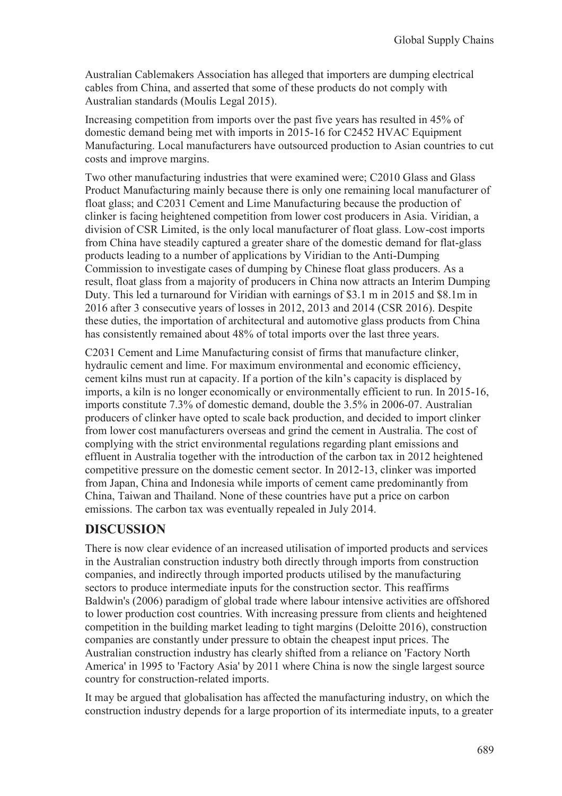Australian Cablemakers Association has alleged that importers are dumping electrical cables from China, and asserted that some of these products do not comply with Australian standards (Moulis Legal 2015).

Increasing competition from imports over the past five years has resulted in 45% of domestic demand being met with imports in 2015-16 for C2452 HVAC Equipment Manufacturing. Local manufacturers have outsourced production to Asian countries to cut costs and improve margins.

Two other manufacturing industries that were examined were; C2010 Glass and Glass Product Manufacturing mainly because there is only one remaining local manufacturer of float glass; and C2031 Cement and Lime Manufacturing because the production of clinker is facing heightened competition from lower cost producers in Asia. Viridian, a division of CSR Limited, is the only local manufacturer of float glass. Low-cost imports from China have steadily captured a greater share of the domestic demand for flat-glass products leading to a number of applications by Viridian to the Anti-Dumping Commission to investigate cases of dumping by Chinese float glass producers. As a result, float glass from a majority of producers in China now attracts an Interim Dumping Duty. This led a turnaround for Viridian with earnings of \$3.1 m in 2015 and \$8.1m in 2016 after 3 consecutive years of losses in 2012, 2013 and 2014 (CSR 2016). Despite these duties, the importation of architectural and automotive glass products from China has consistently remained about 48% of total imports over the last three years.

C2031 Cement and Lime Manufacturing consist of firms that manufacture clinker, hydraulic cement and lime. For maximum environmental and economic efficiency, cement kilns must run at capacity. If a portion of the kiln's capacity is displaced by imports, a kiln is no longer economically or environmentally efficient to run. In 2015-16, imports constitute 7.3% of domestic demand, double the 3.5% in 2006-07. Australian producers of clinker have opted to scale back production, and decided to import clinker from lower cost manufacturers overseas and grind the cement in Australia. The cost of complying with the strict environmental regulations regarding plant emissions and effluent in Australia together with the introduction of the carbon tax in 2012 heightened competitive pressure on the domestic cement sector. In 2012-13, clinker was imported from Japan, China and Indonesia while imports of cement came predominantly from China, Taiwan and Thailand. None of these countries have put a price on carbon emissions. The carbon tax was eventually repealed in July 2014.

### **DISCUSSION**

There is now clear evidence of an increased utilisation of imported products and services in the Australian construction industry both directly through imports from construction companies, and indirectly through imported products utilised by the manufacturing sectors to produce intermediate inputs for the construction sector. This reaffirms Baldwin's (2006) paradigm of global trade where labour intensive activities are offshored to lower production cost countries. With increasing pressure from clients and heightened competition in the building market leading to tight margins (Deloitte 2016), construction companies are constantly under pressure to obtain the cheapest input prices. The Australian construction industry has clearly shifted from a reliance on 'Factory North America' in 1995 to 'Factory Asia' by 2011 where China is now the single largest source country for construction-related imports.

It may be argued that globalisation has affected the manufacturing industry, on which the construction industry depends for a large proportion of its intermediate inputs, to a greater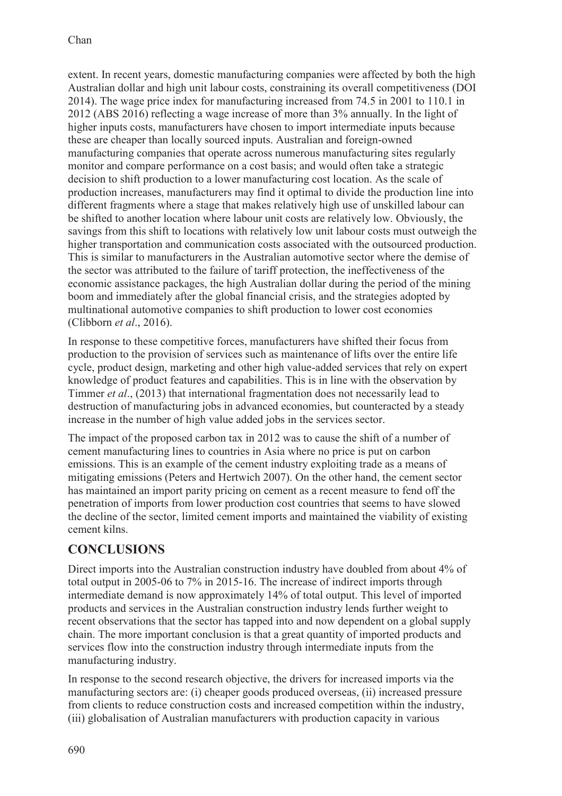extent. In recent years, domestic manufacturing companies were affected by both the high Australian dollar and high unit labour costs, constraining its overall competitiveness (DOI 2014). The wage price index for manufacturing increased from 74.5 in 2001 to 110.1 in 2012 (ABS 2016) reflecting a wage increase of more than 3% annually. In the light of higher inputs costs, manufacturers have chosen to import intermediate inputs because these are cheaper than locally sourced inputs. Australian and foreign-owned manufacturing companies that operate across numerous manufacturing sites regularly monitor and compare performance on a cost basis; and would often take a strategic decision to shift production to a lower manufacturing cost location. As the scale of production increases, manufacturers may find it optimal to divide the production line into different fragments where a stage that makes relatively high use of unskilled labour can be shifted to another location where labour unit costs are relatively low. Obviously, the savings from this shift to locations with relatively low unit labour costs must outweigh the higher transportation and communication costs associated with the outsourced production. This is similar to manufacturers in the Australian automotive sector where the demise of the sector was attributed to the failure of tariff protection, the ineffectiveness of the economic assistance packages, the high Australian dollar during the period of the mining boom and immediately after the global financial crisis, and the strategies adopted by multinational automotive companies to shift production to lower cost economies (Clibborn *et al*., 2016).

In response to these competitive forces, manufacturers have shifted their focus from production to the provision of services such as maintenance of lifts over the entire life cycle, product design, marketing and other high value-added services that rely on expert knowledge of product features and capabilities. This is in line with the observation by Timmer *et al*., (2013) that international fragmentation does not necessarily lead to destruction of manufacturing jobs in advanced economies, but counteracted by a steady increase in the number of high value added jobs in the services sector.

The impact of the proposed carbon tax in 2012 was to cause the shift of a number of cement manufacturing lines to countries in Asia where no price is put on carbon emissions. This is an example of the cement industry exploiting trade as a means of mitigating emissions (Peters and Hertwich 2007). On the other hand, the cement sector has maintained an import parity pricing on cement as a recent measure to fend off the penetration of imports from lower production cost countries that seems to have slowed the decline of the sector, limited cement imports and maintained the viability of existing cement kilns.

## **CONCLUSIONS**

Direct imports into the Australian construction industry have doubled from about 4% of total output in 2005-06 to 7% in 2015-16. The increase of indirect imports through intermediate demand is now approximately 14% of total output. This level of imported products and services in the Australian construction industry lends further weight to recent observations that the sector has tapped into and now dependent on a global supply chain. The more important conclusion is that a great quantity of imported products and services flow into the construction industry through intermediate inputs from the manufacturing industry.

In response to the second research objective, the drivers for increased imports via the manufacturing sectors are: (i) cheaper goods produced overseas, (ii) increased pressure from clients to reduce construction costs and increased competition within the industry, (iii) globalisation of Australian manufacturers with production capacity in various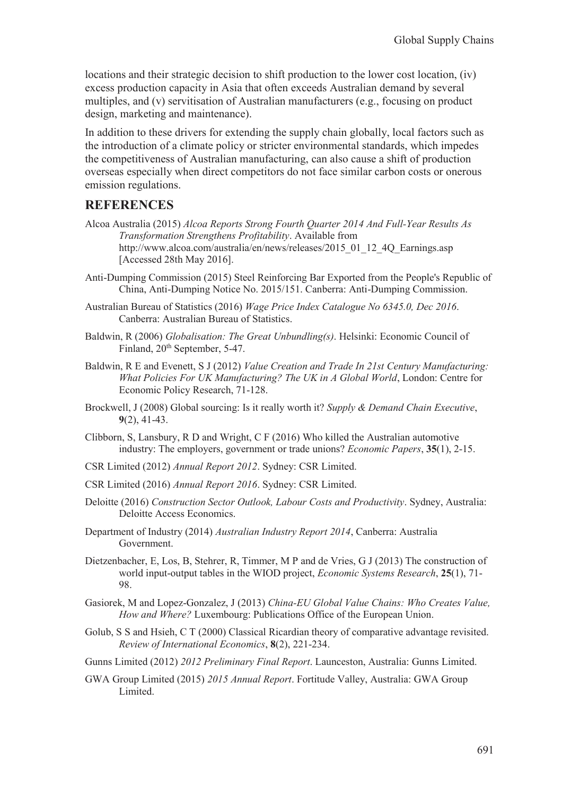locations and their strategic decision to shift production to the lower cost location, (iv) excess production capacity in Asia that often exceeds Australian demand by several multiples, and (v) servitisation of Australian manufacturers (e.g., focusing on product design, marketing and maintenance).

In addition to these drivers for extending the supply chain globally, local factors such as the introduction of a climate policy or stricter environmental standards, which impedes the competitiveness of Australian manufacturing, can also cause a shift of production overseas especially when direct competitors do not face similar carbon costs or onerous emission regulations.

### **REFERENCES**

- Alcoa Australia (2015) *Alcoa Reports Strong Fourth Quarter 2014 And Full-Year Results As Transformation Strengthens Profitability*. Available from http://www.alcoa.com/australia/en/news/releases/2015\_01\_12\_4Q\_Earnings.asp [Accessed 28th May 2016].
- Anti-Dumping Commission (2015) Steel Reinforcing Bar Exported from the People's Republic of China, Anti-Dumping Notice No. 2015/151. Canberra: Anti-Dumping Commission.
- Australian Bureau of Statistics (2016) *Wage Price Index Catalogue No 6345.0, Dec 2016*. Canberra: Australian Bureau of Statistics.
- Baldwin, R (2006) *Globalisation: The Great Unbundling(s)*. Helsinki: Economic Council of Finland,  $20<sup>th</sup>$  September, 5-47.
- Baldwin, R E and Evenett, S J (2012) *Value Creation and Trade In 21st Century Manufacturing: What Policies For UK Manufacturing? The UK in A Global World*, London: Centre for Economic Policy Research, 71-128.
- Brockwell, J (2008) Global sourcing: Is it really worth it? *Supply & Demand Chain Executive*, **9**(2), 41-43.
- Clibborn, S, Lansbury, R D and Wright, C F (2016) Who killed the Australian automotive industry: The employers, government or trade unions? *Economic Papers*, **35**(1), 2-15.
- CSR Limited (2012) *Annual Report 2012*. Sydney: CSR Limited.
- CSR Limited (2016) *Annual Report 2016*. Sydney: CSR Limited.
- Deloitte (2016) *Construction Sector Outlook, Labour Costs and Productivity*. Sydney, Australia: Deloitte Access Economics.
- Department of Industry (2014) *Australian Industry Report 2014*, Canberra: Australia Government.
- Dietzenbacher, E, Los, B, Stehrer, R, Timmer, M P and de Vries, G J (2013) The construction of world input-output tables in the WIOD project, *Economic Systems Research*, **25**(1), 71- 98.
- Gasiorek, M and Lopez-Gonzalez, J (2013) *China-EU Global Value Chains: Who Creates Value, How and Where?* Luxembourg: Publications Office of the European Union.
- Golub, S S and Hsieh, C T (2000) Classical Ricardian theory of comparative advantage revisited. *Review of International Economics*, **8**(2), 221-234.
- Gunns Limited (2012) *2012 Preliminary Final Report*. Launceston, Australia: Gunns Limited.
- GWA Group Limited (2015) *2015 Annual Report*. Fortitude Valley, Australia: GWA Group Limited.